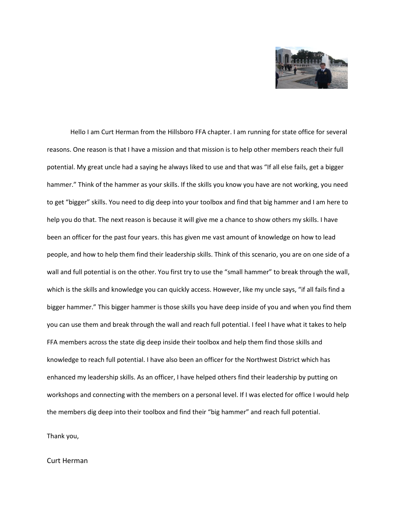

Hello I am Curt Herman from the Hillsboro FFA chapter. I am running for state office for several reasons. One reason is that I have a mission and that mission is to help other members reach their full potential. My great uncle had a saying he always liked to use and that was "If all else fails, get a bigger hammer." Think of the hammer as your skills. If the skills you know you have are not working, you need to get "bigger" skills. You need to dig deep into your toolbox and find that big hammer and I am here to help you do that. The next reason is because it will give me a chance to show others my skills. I have been an officer for the past four years. this has given me vast amount of knowledge on how to lead people, and how to help them find their leadership skills. Think of this scenario, you are on one side of a wall and full potential is on the other. You first try to use the "small hammer" to break through the wall, which is the skills and knowledge you can quickly access. However, like my uncle says, "if all fails find a bigger hammer." This bigger hammer is those skills you have deep inside of you and when you find them you can use them and break through the wall and reach full potential. I feel I have what it takes to help FFA members across the state dig deep inside their toolbox and help them find those skills and knowledge to reach full potential. I have also been an officer for the Northwest District which has enhanced my leadership skills. As an officer, I have helped others find their leadership by putting on workshops and connecting with the members on a personal level. If I was elected for office I would help the members dig deep into their toolbox and find their "big hammer" and reach full potential.

Thank you,

## Curt Herman